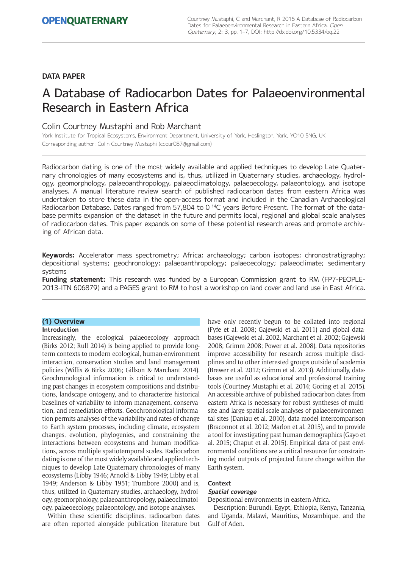# **DATA PAPER**

# A Database of Radiocarbon Dates for Palaeoenvironmental Research in Eastern Africa

# Colin Courtney Mustaphi and Rob Marchant

York Institute for Tropical Ecosystems, Environment Department, University of York, Heslington, York, YO10 5NG, UK Corresponding author: Colin Courtney Mustaphi (ccour087@gmail.com)

Radiocarbon dating is one of the most widely available and applied techniques to develop Late Quaternary chronologies of many ecosystems and is, thus, utilized in Quaternary studies, archaeology, hydrology, geomorphology, palaeoanthropology, palaeoclimatology, palaeoecology, palaeontology, and isotope analyses. A manual literature review search of published radiocarbon dates from eastern Africa was undertaken to store these data in the open-access format and included in the Canadian Archaeological Radiocarbon Database. Dates ranged from 57,804 to 0<sup>14</sup>C years Before Present. The format of the database permits expansion of the dataset in the future and permits local, regional and global scale analyses of radiocarbon dates. This paper expands on some of these potential research areas and promote archiving of African data.

**Keywords:** Accelerator mass spectrometry; Africa; archaeology; carbon isotopes; chronostratigraphy; depositional systems; geochronology; palaeoanthropology; palaeoecology; palaeoclimate; sedimentary systems

**Funding statement:** This research was funded by a European Commission grant to RM (FP7-PEOPLE-2013-ITN 606879) and a PAGES grant to RM to host a workshop on land cover and land use in East Africa.

# **(1) Overview**

# **Introduction**

Increasingly, the ecological palaeoecology approach (Birks 2012; Rull 2014) is being applied to provide longterm contexts to modern ecological, human-environment interaction, conservation studies and land management policies (Willis & Birks 2006; Gillson & Marchant 2014). Geochronological information is critical to understanding past changes in ecosystem compositions and distributions, landscape ontogeny, and to characterize historical baselines of variability to inform management, conservation, and remediation efforts. Geochronological information permits analyses of the variability and rates of change to Earth system processes, including climate, ecosystem changes, evolution, phylogenies, and constraining the interactions between ecosystems and human modifications, across multiple spatiotemporal scales. Radiocarbon dating is one of the most widely available and applied techniques to develop Late Quaternary chronologies of many ecosystems (Libby 1946; Arnold & Libby 1949; Libby et al. 1949; Anderson & Libby 1951; Trumbore 2000) and is, thus, utilized in Quaternary studies, archaeology, hydrology, geomorphology, palaeoanthropology, palaeoclimatology, palaeoecology, palaeontology, and isotope analyses.

Within these scientific disciplines, radiocarbon dates are often reported alongside publication literature but have only recently begun to be collated into regional (Fyfe et al. 2008; Gajewski et al. 2011) and global databases (Gajewski et al. 2002, Marchant et al. 2002; Gajewski 2008; Grimm 2008; Power et al. 2008). Data repositories improve accessibility for research across multiple disciplines and to other interested groups outside of academia (Brewer et al. 2012; Grimm et al. 2013). Additionally, databases are useful as educational and professional training tools (Courtney Mustaphi et al. 2014; Goring et al. 2015). An accessible archive of published radiocarbon dates from eastern Africa is necessary for robust syntheses of multisite and large spatial scale analyses of palaeoenvironmental sites (Daniau et al. 2010), data-model intercomparison (Braconnot et al. 2012; Marlon et al. 2015), and to provide a tool for investigating past human demographics (Gayo et al. 2015; Chaput et al. 2015). Empirical data of past environmental conditions are a critical resource for constraining model outputs of projected future change within the Earth system.

## **Context**

## **Spatial coverage**

Depositional environments in eastern Africa.

Description: Burundi, Egypt, Ethiopia, Kenya, Tanzania, and Uganda, Malawi, Mauritius, Mozambique, and the Gulf of Aden.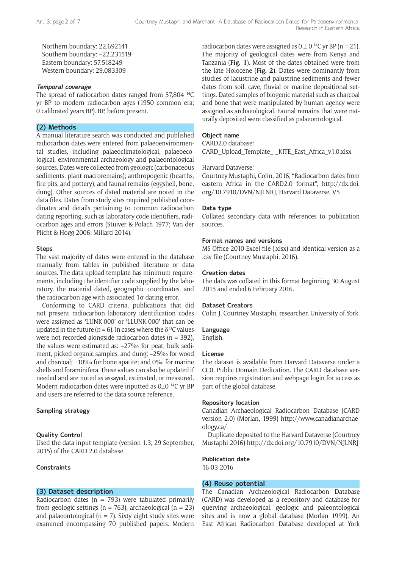Northern boundary: 22.692141 Southern boundary: -22.231519 Eastern boundary: 57.518249 Western boundary: 29.083309

## **Temporal coverage**

The spread of radiocarbon dates ranged from 57,804 14C yr BP to modern radiocarbon ages (1950 common era; 0 calibrated years BP). BP, before present.

# **(2) Methods**

A manual literature search was conducted and published radiocarbon dates were entered from palaeoenvironmental studies, including palaeoclimatological, palaeoecological, environmental archaeology and palaeontological sources. Dates were collected from geologic (carbonaceous sediments, plant macroremains); anthropogenic (hearths, fire pits, and pottery); and faunal remains (eggshell, bone, dung). Other sources of dated material are noted in the data files. Dates from study sites required published coordinates and details pertaining to common radiocarbon dating reporting, such as laboratory code identifiers, radiocarbon ages and errors (Stuiver & Polach 1977; Van der Plicht & Hogg 2006; Millard 2014).

#### **Steps**

The vast majority of dates were entered in the database manually from tables in published literature or data sources. The data upload template has minimum requirements, including the identifier code supplied by the laboratory, the material dated, geographic coordinates, and the radiocarbon age with associated  $1\sigma$  dating error.

Conforming to CARD criteria, publications that did not present radiocarbon laboratory identification codes were assigned as 'LUNK-000' or 'LLUNK-000' that can be updated in the future ( $n = 6$ ). In cases where the  $\delta^{13}$ C values were not recorded alongside radiocarbon dates ( $n = 392$ ), the values were estimated as: −27‰ for peat, bulk sediment, picked organic samples, and dung; −25‰ for wood and charcoal; −10‰ for bone apatite; and 0‰ for marine shells and foraminifera. These values can also be updated if needed and are noted as assayed, estimated, or measured. Modern radiocarbon dates were inputted as 0±0<sup>14</sup>C vr BP and users are referred to the data source reference.

# **Sampling strategy**

## **Quality Control**

Used the data input template (version 1.3; 29 September, 2015) of the CARD 2.0 database.

## **Constraints**

## **(3) Dataset description**

Radiocarbon dates ( $n = 793$ ) were tabulated primarily from geologic settings ( $n = 763$ ), archaeological ( $n = 23$ ) and palaeontological ( $n = 7$ ). Sixty eight study sites were examined encompassing 70 published papers. Modern

radiocarbon dates were assigned as  $0 \pm 0$  <sup>14</sup>C yr BP (n = 21). The majority of geological dates were from Kenya and Tanzania (**Fig. 1**). Most of the dates obtained were from the late Holocene (**Fig. 2**). Dates were dominantly from studies of lacustrine and palustrine sediments and fewer dates from soil, cave, fluvial or marine depositional settings. Dated samples of biogenic material such as charcoal and bone that were manipulated by human agency were assigned as archaeological. Faunal remains that were naturally deposited were classified as palaeontological.

## **Object name**

CARD2.0 database:

CARD\_Upload\_Template\_-\_KITE\_East\_Africa\_v1.0.xlsx

#### Harvard Dataverse:

Courtney Mustaphi, Colin, 2016, "Radiocarbon dates from eastern Africa in the CARD2.0 format", [http://dx.doi.](http://dx.doi.org/10.7910/DVN/NJLNRJ) [org/10.7910/DVN/NJLNRJ,](http://dx.doi.org/10.7910/DVN/NJLNRJ) Harvard Dataverse, V5

#### **Data type**

Collated secondary data with references to publication sources.

## **Format names and versions**

MS Office 2010 Excel file (.xlsx) and identical version as a .csv file (Courtney Mustaphi, 2016).

### **Creation dates**

The data was collated in this format beginning 30 August 2015 and ended 6 February 2016.

# **Dataset Creators**

Colin J. Courtney Mustaphi, researcher, University of York.

#### **Language**

English.

#### **License**

The dataset is available from Harvard Dataverse under a CC0, Public Domain Dedication. The CARD database version requires registration and webpage login for access as part of the global database.

## **Repository location**

Canadian Archaeological Radiocarbon Database (CARD version 2.0) (Morlan, 1999) [http://www.canadianarchae](http://www.canadianarchaeology.ca/)[ology.ca/](http://www.canadianarchaeology.ca/)

Duplicate deposited to the Harvard Dataverse (Courtney Mustaphi 2016) http://dx.doi.org/10.7910/DVN/NJLNRJ

#### **Publication date**

16-03-2016

## **(4) Reuse potential**

The Canadian Archaeological Radiocarbon Database (CARD) was developed as a repository and database for querying archaeological, geologic and paleontological sites and is now a global database (Morlan 1999). An East African Radiocarbon Database developed at York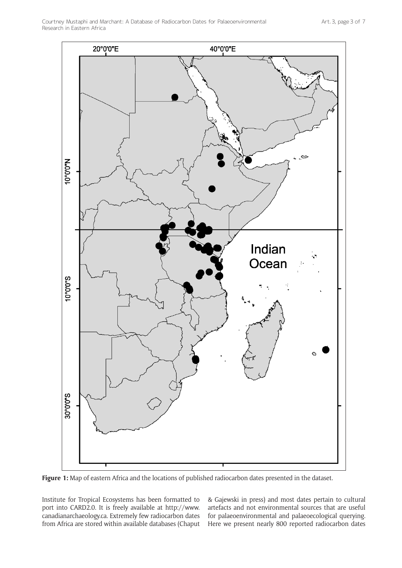

Figure 1: Map of eastern Africa and the locations of published radiocarbon dates presented in the dataset.

Institute for Tropical Ecosystems has been formatted to port into CARD2.0. It is freely available at [http://www.](http://www.canadianarchaeology.ca) [canadianarchaeology.ca.](http://www.canadianarchaeology.ca) Extremely few radiocarbon dates from Africa are stored within available databases (Chaput

& Gajewski in press) and most dates pertain to cultural artefacts and not environmental sources that are useful for palaeoenvironmental and palaeoecological querying. Here we present nearly 800 reported radiocarbon dates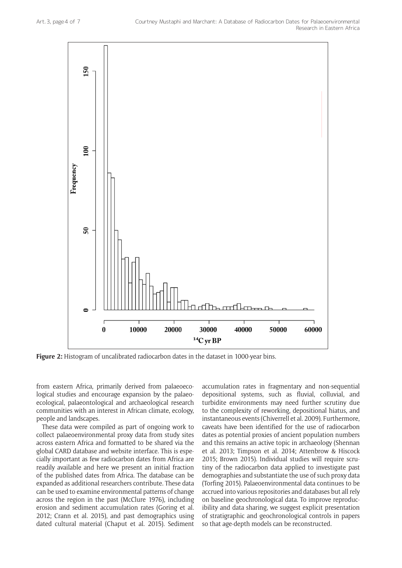

**Figure 2:** Histogram of uncalibrated radiocarbon dates in the dataset in 1000-year bins.

from eastern Africa, primarily derived from palaeoecological studies and encourage expansion by the palaeoecological, palaeontological and archaeological research communities with an interest in African climate, ecology, people and landscapes.

These data were compiled as part of ongoing work to collect palaeoenvironmental proxy data from study sites across eastern Africa and formatted to be shared via the global CARD database and website interface. This is especially important as few radiocarbon dates from Africa are readily available and here we present an initial fraction of the published dates from Africa. The database can be expanded as additional researchers contribute. These data can be used to examine environmental patterns of change across the region in the past (McClure 1976), including erosion and sediment accumulation rates (Goring et al. 2012; Crann et al. 2015), and past demographics using dated cultural material (Chaput et al. 2015). Sediment

accumulation rates in fragmentary and non-sequential depositional systems, such as fluvial, colluvial, and turbidite environments may need further scrutiny due to the complexity of reworking, depositional hiatus, and instantaneous events (Chiverrell et al. 2009). Furthermore, caveats have been identified for the use of radiocarbon dates as potential proxies of ancient population numbers and this remains an active topic in archaeology (Shennan et al. 2013; Timpson et al. 2014; Attenbrow & Hiscock 2015; Brown 2015). Individual studies will require scrutiny of the radiocarbon data applied to investigate past demographies and substantiate the use of such proxy data (Torfing 2015). Palaeoenvironmental data continues to be accrued into various repositories and databases but all rely on baseline geochronological data. To improve reproducibility and data sharing, we suggest explicit presentation of stratigraphic and geochronological controls in papers so that age-depth models can be reconstructed.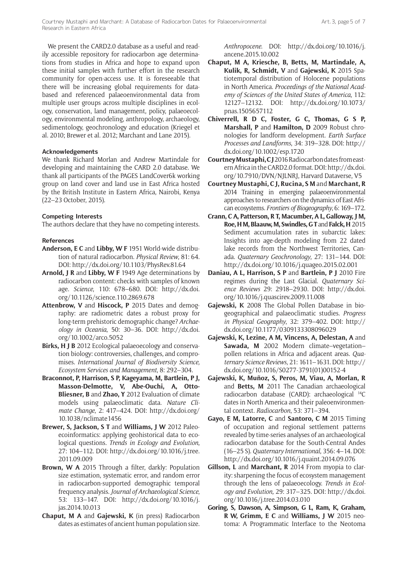We present the CARD2.0 database as a useful and readily accessible repository for radiocarbon age determinations from studies in Africa and hope to expand upon these initial samples with further effort in the research community for open-access use. It is foreseeable that there will be increasing global requirements for databased and referenced palaeoenvironmental data from multiple user groups across multiple disciplines in ecology, conservation, land management, policy, palaeoecology, environmental modeling, anthropology, archaeology, sedimentology, geochronology and education (Kriegel et al. 2010; Brewer et al. 2012; Marchant and Lane 2015).

# **Acknowledgements**

We thank Richard Morlan and Andrew Martindale for developing and maintaining the CARD 2.0 database. We thank all participants of the PAGES LandCover6k working group on land cover and land use in East Africa hosted by the British Institute in Eastern Africa, Nairobi, Kenya (22–23 October, 2015).

# **Competing Interests**

The authors declare that they have no competing interests.

# **References**

- **Anderson, E C** and **Libby, W F** 1951 World-wide distribution of natural radiocarbon. *Physical Review*, 81: 64. DOI:<http://dx.doi.org/10.1103/PhysRev.81.64>
- **Arnold, J R** and **Libby, W F** 1949 Age determinations by radiocarbon content: checks with samples of known age. *Science*, 110: 678–680. DOI: [http://dx.doi.](http://dx.doi.org/10.1126/science.110.2869.678) [org/10.1126/science.110.2869.678](http://dx.doi.org/10.1126/science.110.2869.678)
- **Attenbrow, V** and **Hiscock, P** 2015 Dates and demography: are radiometric dates a robust proxy for long-term prehistoric demographic change? *Archaeology in Oceania*, 50: 30–36. DOI: [http://dx.doi.](http://dx.doi.org/10.1002/arco.5052) [org/10.1002/arco.5052](http://dx.doi.org/10.1002/arco.5052)
- **Birks, H J B** 2012 Ecological palaeoecology and conservation biology: controversies, challenges, and compromises. *International Journal of Biodiversity Science, Ecosystem Services and Management*, 8: 292–304.
- **Braconnot, P, Harrison, S P, Kageyama, M, Bartlein, P J, Masson-Delmotte, V, Abe-Ouchi, A, Otto-Bliesner, B** and **Zhao, Y** 2012 Evaluation of climate models using palaeoclimatic data. *Nature Climate Change*, 2: 417–424. DOI: [http://dx.doi.org/](http://dx.doi.org/10.1038/nclimate1456) [10.1038/nclimate1456](http://dx.doi.org/10.1038/nclimate1456)
- **Brewer, S, Jackson, S T** and **Williams, J W** 2012 Paleoecoinformatics: applying geohistorical data to ecological questions. *Trends in Ecology and Evolution*, 27: 104–112. DOI: [http://dx.doi.org/10.1016/j.tree.](http://dx.doi.org/10.1016/j.tree.2011.09.009) [2011.09.009](http://dx.doi.org/10.1016/j.tree.2011.09.009)
- **Brown, W A** 2015 Through a filter, darkly: Population size estimation, systematic error, and random error in radiocarbon-supported demographic temporal frequency analysis. *Journal of Archaeological Science*, 53: 133–147. DOI: [http://dx.doi.org/10.1016/j.](http://dx.doi.org/10.1016/j.jas.2014.10.013) [jas.2014.10.013](http://dx.doi.org/10.1016/j.jas.2014.10.013)
- **Chaput, M A** and **Gajewski, K** (in press) Radiocarbon dates as estimates of ancient human population size.

*Anthropocene*. DOI: [http://dx.doi.org/10.1016/j.](http://dx.doi.org/10.1016/j.ancene.2015.10.002) [ancene.2015.10.002](http://dx.doi.org/10.1016/j.ancene.2015.10.002)

- **Chaput, M A, Kriesche, B, Betts, M, Martindale, A, Kulik, R, Schmidt, V** and **Gajewski, K** 2015 Spatiotemporal distribution of Holocene populations in North America. *Proceedings of the National Academy of Sciences of the United States of America*, 112: 12127–12132. DOI: [http://dx.doi.org/10.1073/](http://dx.doi.org/10.1073/pnas.1505657112) [pnas.1505657112](http://dx.doi.org/10.1073/pnas.1505657112)
- **Chiverrell, R D C, Foster, G C, Thomas, G S P, Marshall, P** and **Hamilton, D** 2009 Robust chronologies for landform development. *Earth Surface Processes and Landforms*, 34: 319–328. DOI: [http://](http://dx.doi.org/10.1002/esp.1720) [dx.doi.org/10.1002/esp.1720](http://dx.doi.org/10.1002/esp.1720)
- **Courtney Mustaphi, CJ** 2016 Radiocarbon dates from eastern Africa in the CARD2.0 format. DOI: [http://dx.doi.](http://dx.doi.org/10.7910/DVN/NJLNRJ) [org/10.7910/DVN/NJLNRJ](http://dx.doi.org/10.7910/DVN/NJLNRJ), Harvard Dataverse, V5
- **Courtney Mustaphi, C J, Rucina, S M** and **Marchant, R** 2014 Training in emerging palaeoenvironmental approaches to researchers on the dynamics of East African ecosystems. *Frontiers of Biogeography*, 6: 169–172.
- **Crann, C A, Patterson, R T, Macumber, A L, Galloway, J M, Roe, H M, Blaauw, M, Swindles, G T** and **Falck, H** 2015 Sediment accumulation rates in subarctic lakes: Insights into age-depth modeling from 22 dated lake records from the Northwest Territories, Canada. *Quaternary Geochronology*, 27: 131–144. DOI: <http://dx.doi.org/10.1016/j.quageo.2015.02.001>
- **Daniau, A L, Harrison, S P** and **Bartlein, P J** 2010 Fire regimes during the Last Glacial. *Quaternary Science Reviews* 29: 2918–2930. DOI: [http://dx.doi.](http://dx.doi.org/10.1016/j.quascirev.2009.11.008) [org/10.1016/j.quascirev.2009.11.008](http://dx.doi.org/10.1016/j.quascirev.2009.11.008)
- **Gajewski, K** 2008 The Global Pollen Database in biogeographical and palaeoclimatic studies. *Progress in Physical Geography*, 32: 379–402. DOI: [http://](http://dx.doi.org/10.1177/0309133308096029) [dx.doi.org/10.1177/0309133308096029](http://dx.doi.org/10.1177/0309133308096029)
- **Gajewski, K, Lezine, A M, Vincens, A, Delestan, A** and **Sawada, M** 2002 Modern climate–vegetation– pollen relations in Africa and adjacent areas. *Quaternary Science Reviews*, 21: 1611–1631. DOI: [http://](http://dx.doi.org/10.1016/S0277-3791(01)00152-4) [dx.doi.org/10.1016/S0277-3791\(01\)00152-4](http://dx.doi.org/10.1016/S0277-3791(01)00152-4)
- **Gajewski, K, Muñoz, S, Peros, M, Viau, A, Morlan, R** and **Betts, M** 2011 The Canadian archaeological radiocarbon database (CARD): archaeological 14C dates in North America and their paleoenvironmental context. *Radiocarbon*, 53: 371–394.
- **Gayo, E M, Latorre, C** and **Santoro, C M** 2015 Timing of occupation and regional settlement patterns revealed by time-series analyses of an archaeological radiocarbon database for the South-Central Andes (16–25 S). *Quaternary International*, 356: 4–14. DOI: <http://dx.doi.org/10.1016/j.quaint.2014.09.076>
- **Gillson, L** and **Marchant, R** 2014 From myopia to clarity: sharpening the focus of ecosystem management through the lens of palaeoecology. *Trends in Ecology and Evolution,* 29: 317–325. DOI: [http://dx.doi.](http://dx.doi.org/10.1016/j.tree.2014.03.010) [org/10.1016/j.tree.2014.03.010](http://dx.doi.org/10.1016/j.tree.2014.03.010)
- **Goring, S, Dawson, A, Simpson, G L, Ram, K, Graham, R W, Grimm, E C** and **Williams, J W** 2015 neotoma: A Programmatic Interface to the Neotoma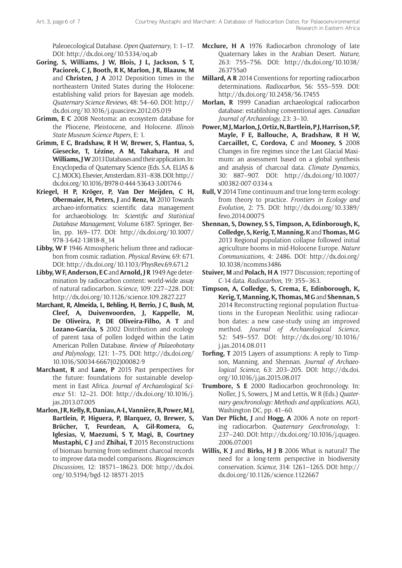Paleoecological Database. *Open Quaternary*, 1: 1–17. DOI: <http://dx.doi.org/10.5334/oq.ab>

- **Goring, S, Williams, J W, Blois, J L, Jackson, S T, Paciorek, C J, Booth, R K, Marlon, J R, Blaauw, M** and **Christen, J A** 2012 Deposition times in the northeastern United States during the Holocene: establishing valid priors for Bayesian age models. *Quaternary Science Reviews*, 48: 54–60. DOI: [http://](http://dx.doi.org/10.1016/j.quascirev.2012.05.019) [dx.doi.org/10.1016/j.quascirev.2012.05.019](http://dx.doi.org/10.1016/j.quascirev.2012.05.019)
- **Grimm, E C** 2008 Neotoma: an ecosystem database for the Pliocene, Pleistocene, and Holocene. *Illinois State Museum Science Papers*, E: 1.
- **Grimm, E C, Bradshaw, R H W, Brewer, S, Flantua, S, Giesecke, T, Lézine, A M, Takahara, H** and **Williams, J W** 2013 Databases and their application. In: Encyclopedia of Quaternary Science (Eds. S.A. ELIAS & C.J. MOCK). Elsevier, Amsterdam. 831–838. DOI: [http://](http://dx.doi.org/10.1016/B978-0-444-53643-3.00174-6) [dx.doi.org/10.1016/B978-0-444-53643-3.00174-6](http://dx.doi.org/10.1016/B978-0-444-53643-3.00174-6)
- **Kriegel, H P, Kröger, P, Van Der Meijden, C H, Obermaier, H, Peters, J** and **Renz, M** 2010 Towards archaeo-informatics: scientific data management for archaeobiology. In: *Scientific and Statistical Database Management*, Volume 6187. Springer, Berlin, pp. 169–177. DOI: [http://dx.doi.org/10.1007/](http://dx.doi.org/10.1007/978-3-642-13818-8_14) [978-3-642-13818-8\\_14](http://dx.doi.org/10.1007/978-3-642-13818-8_14)
- **Libby, W F** 1946 Atmospheric helium three and radiocarbon from cosmic radiation. *Physical Review,* 69: 671. DOI: <http://dx.doi.org/10.1103/PhysRev.69.671.2>
- **Libby, W F, Anderson, E C** and **Arnold, J R** 1949 Age determination by radiocarbon content: world-wide assay of natural radiocarbon. *Science*, 109: 227–228. DOI: <http://dx.doi.org/10.1126/science.109.2827.227>
- **Marchant, R, Almeida, L, Behling, H, Berrio, J C, Bush, M, Cleef, A, Duivenvoorden, J, Kappelle, M, De Oliveira, P, DE Oliveira-Filho, A T** and **Lozano-Garćia, S** 2002 Distribution and ecology of parent taxa of pollen lodged within the Latin American Pollen Database. *Review of Palaeobotany and Palynology*, 121: 1–75. DOI: [http://dx.doi.org/](http://dx.doi.org/10.1016/S0034-6667(02)00082-9) [10.1016/S0034-6667\(02\)00082-9](http://dx.doi.org/10.1016/S0034-6667(02)00082-9)
- **Marchant, R** and **Lane, P** 2015 Past perspectives for the future: foundations for sustainable development in East Africa. *Journal of Archaeological Science* 51: 12–21. DOI: [http://dx.doi.org/10.1016/j.](http://dx.doi.org/10.1016/j.jas.2013.07.005) [jas.2013.07.005](http://dx.doi.org/10.1016/j.jas.2013.07.005)
- **Marlon, J R, Kelly, R, Daniau, A-L, Vannière, B, Power, M J, Bartlein, P, Higuera, P, Blarquez, O, Brewer, S, Brücher, T, Feurdean, A, Gil-Romera, G, Iglesias, V, Maezumi, S Y, Magi, B, Courtney Mustaphi, C J** and **Zhihai, T** 2015 Reconstructions of biomass burning from sediment charcoal records to improve data-model comparisons. *Biogeosciences Discussions*, 12: 18571–18623. DOI: [http://dx.doi.](http://dx.doi.org/10.5194/bgd-12-18571-2015) [org/10.5194/bgd-12-18571-2015](http://dx.doi.org/10.5194/bgd-12-18571-2015)
- **Mcclure, H A** 1976 Radiocarbon chronology of late Quaternary lakes in the Arabian Desert. *Nature,* 263: 755–756. DOI: [http://dx.doi.org/10.1038/](http://dx.doi.org/10.1038/263755a0) [263755a0](http://dx.doi.org/10.1038/263755a0)
- **Millard, A R** 2014 Conventions for reporting radiocarbon determinations. *Radiocarbon*, 56: 555–559. DOI: <http://dx.doi.org/10.2458/56.17455>
- **Morlan, R** 1999 Canadian archaeological radiocarbon database: establishing conventional ages. *Canadian Journal of Archaeology*, 23: 3–10.
- **Power, M J, Marlon, J, Ortiz, N, Bartlein, P J, Harrison, S P, Mayle, F E, Ballouche, A, Bradshaw, R H W, Carcaillet, C, Cordova, C** and **Mooney, S** 2008 Changes in fire regimes since the Last Glacial Maximum: an assessment based on a global synthesis and analysis of charcoal data. *Climate Dynamics*, 30: 887–907. DOI: [http://dx.doi.org/10.1007/](http://dx.doi.org/10.1007/s00382-007-0334-x) [s00382-007-0334-x](http://dx.doi.org/10.1007/s00382-007-0334-x)
- **Rull, V** 2014 Time continuum and true long-term ecology: from theory to practice. *Frontiers in Ecology and Evolution*, 2: 75. DOI: [http://dx.doi.org/10.3389/](http://dx.doi.org/10.3389/fevo.2014.00075) [fevo.2014.00075](http://dx.doi.org/10.3389/fevo.2014.00075)
- **Shennan, S, Downey, S S, Timpson, A, Edinborough, K, Colledge, S, Kerig, T, Manning, K** and **Thomas, M G** 2013 Regional population collapse followed initial agriculture booms in mid-Holocene Europe. *Nature Communications*, 4: 2486. DOI: [http://dx.doi.org/](http://dx.doi.org/10.1038/ncomms3486) [10.1038/ncomms3486](http://dx.doi.org/10.1038/ncomms3486)
- **Stuiver, M** and **Polach, H A** 1977 Discussion; reporting of C-14 data. *Radiocarbon*, 19: 355–363.
- **Timpson, A, Colledge, S, Crema, E, Edinborough, K, Kerig, T, Manning, K, Thomas, M G** and **Shennan, S** 2014 Reconstructing regional population fluctuations in the European Neolithic using radiocarbon dates: a new case-study using an improved method. *Journal of Archaeological Science*, 52: 549–557. DOI: [http://dx.doi.org/10.1016/](http://dx.doi.org/10.1016/j.jas.2014.08.011) [j.jas.2014.08.011](http://dx.doi.org/10.1016/j.jas.2014.08.011)
- **Torfing, T** 2015 Layers of assumptions: A reply to Timpson, Manning, and Shennan. *Journal of Archaeological Science*, 63: 203–205. DOI: [http://dx.doi.](http://dx.doi.org/10.1016/j.jas.2015.08.017) [org/10.1016/j.jas.2015.08.017](http://dx.doi.org/10.1016/j.jas.2015.08.017)
- **Trumbore, S E** 2000 Radiocarbon geochronology. In: Noller, J S, Sowers, J M and Lettis, W R (Eds.) *Quaternary geochronology: Methods and applications*. AGU, Washington DC, pp. 41–60.
- **Van Der Plicht, J** and **Hogg, A** 2006 A note on reporting radiocarbon. *Quaternary Geochronology*, 1: 237–240. DOI: [http://dx.doi.org/10.1016/j.quageo.](http://dx.doi.org/10.1016/j.quageo.2006.07.001) [2006.07.001](http://dx.doi.org/10.1016/j.quageo.2006.07.001)
- **Willis, K J** and **Birks, H J B** 2006 What is natural? The need for a long-term perspective in biodiversity conservation. *Science*, 314: 1261–1265. DOI: [http://](http://dx.doi.org/10.1126/science.1122667) [dx.doi.org/10.1126/science.1122667](http://dx.doi.org/10.1126/science.1122667)